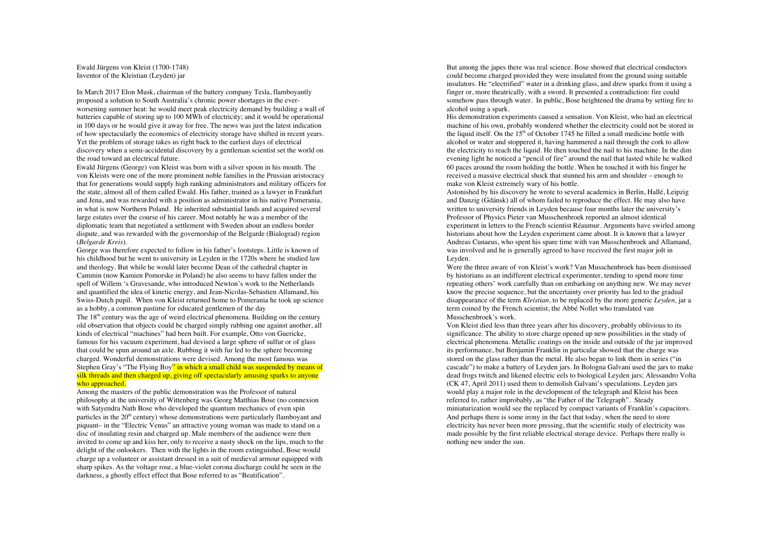Ewald Jürgens von Kleist (1700-1748) Inventor of the Kleistian (Leyden) jar

In March 2017 Elon Musk, chairman of the battery company Tesla, flamboyantly proposed a solution to South Australia's chronic power shortages in the everworsening summer heat: he would meet peak electricity demand by building a wall of batteries capable of storing up to 100 MWh of electricity; and it would be operational in 100 days or he would give it away for free. The news was just the latest indication of how spectacularly the economics of electricity storage have shifted in recent years. Yet the problem of storage takes us right back to the earliest days of electrical discovery when a semi-accidental discovery by a gentleman scientist set the world on the road toward an electrical future.

Ewald Jürgens (George) von Kleist was born with a silver spoon in his mouth. The von Kleists were one of the more prominent noble families in the Prussian aristocracy that for generations would supply high ranking administrators and military officers for the state, almost all of them called Ewald. His father, trained as a lawyer in Frankfurt and Jena, and was rewarded with a position as administrator in his native Pomerania, in what is now Northern Poland. He inherited substantial lands and acquired several large estates over the course of his career. Most notably he was a member of the diplomatic team that negotiated a settlement with Sweden about an endless border dispute, and was rewarded with the governorship of the Belgarde (Bialograd) region (*Belgarde Kreis*).

George was therefore expected to follow in his father's footsteps. Little is known of his childhood but he went to university in Leyden in the 1720s where he studied law and theology. But while he would later become Dean of the cathedral chapter in Cammin (now Kamien Pomorske in Poland) he also seems to have fallen under the spell of Willem 's Gravesande, who introduced Newton's work to the Netherlands and quantified the idea of kinetic energy, and Jean-Nicolas-Sebastien Allamand, his Swiss-Dutch pupil. When von Kleist returned home to Pomerania he took up science as a hobby, a common pastime for educated gentlemen of the day

The  $18<sup>th</sup>$  century was the age of weird electrical phenomena. Building on the century old observation that objects could be charged simply rubbing one against another, all kinds of electrical "machines" had been built. For example, Otto von Guericke, famous for his vacuum experiment, had devised a large sphere of sulfur or of glass that could be spun around an axle. Rubbing it with fur led to the sphere becoming charged. Wonderful demonstrations were devised. Among the most famous was Stephen Gray's "The Flying Boy" in which a small child was suspended by means of silk threads and then charged up, giving off spectacularly amusing sparks to anyone who approached.

Among the masters of the public demonstration was the Professor of natural philosophy at the university of Wittenberg was Georg Matthias Bose (no connexion with Satyendra Nath Bose who developed the quantum mechanics of even spin particles in the  $20<sup>th</sup>$  century) whose demonstrations were particularly flamboyant and piquant– in the "Electric Venus" an attractive young woman was made to stand on a disc of insulating resin and charged up. Male members of the audience were then invited to come up and kiss her, only to receive a nasty shock on the lips, much to the delight of the onlookers. Then with the lights in the room extinguished, Bose would charge up a volunteer or assistant dressed in a suit of medieval armour equipped with sharp spikes. As the voltage rose, a blue-violet corona discharge could be seen in the darkness, a ghostly effect effect that Bose referred to as "Beatification".

But among the japes there was real science. Bose showed that electrical conductors could become charged provided they were insulated from the ground using suitable insulators. He "electrified" water in a drinking glass, and drew sparks from it using a finger or, more theatrically, with a sword. It presented a contradiction: fire could somehow pass through water. In public, Bose heightened the drama by setting fire to alcohol using a spark.

His demonstration experiments caused a sensation. Von Kleist, who had an electrical machine of his own, probably wondered whether the electricity could not be stored in the liquid itself. On the  $15<sup>th</sup>$  of October 1745 he filled a small medicine bottle with alcohol or water and stoppered it, having hammered a nail through the cork to allow the electricity to reach the liquid. He then touched the nail to his machine. In the dim evening light he noticed a "pencil of fire" around the nail that lasted while he walked 60 paces around the room holding the bottle. When he touched it with his finger he received a massive electrical shock that stunned his arm and shoulder – enough to make von Kleist extremely wary of his bottle.

Astonished by his discovery he wrote to several academics in Berlin, Hallé, Leipzig and Danzig (Gdánsk) all of whom failed to reproduce the effect. He may also have written to university friends in Leyden because four months later the university's Professor of Physics Pieter van Musschenbroek reported an almost identical experiment in letters to the French scientist Réaumur. Arguments have swirled among historians about how the Leyden experiment came about. It is known that a lawyer Andreas Cunaeus, who spent his spare time with van Musschenbroek and Allamand, was involved and he is generally agreed to have received the first major jolt in Leyden.

Were the three aware of von Kleist's work? Van Musschenbroek has been dismissed by historians as an indifferent electrical experimenter, tending to spend more time repeating others' work carefully than on embarking on anything new. We may never know the precise sequence, but the uncertainty over priority has led to the gradual disappearance of the term *Kleistian*, to be replaced by the more generic *Leyden,* jar a term coined by the French scientist, the Abbé Nollet who translated van Musschenbroek's work.

Von Kleist died less than three years after his discovery, probably oblivious to its significance. The ability to store charge opened up new possibilities in the study of electrical phenomena. Metallic coatings on the inside and outside of the jar improved its performance, but Benjamin Franklin in particular showed that the charge was stored on the glass rather than the metal. He also began to link them in series ("in cascade") to make a battery of Leyden jars. In Bologna Galvani used the jars to make dead frogs twitch and likened electric eels to biological Leyden jars; Alessandro Volta (CK 47, April 2011) used them to demolish Galvani's speculations. Leyden jars would play a major role in the development of the telegraph and Kleist has been referred to, rather improbably, as "the Father of the Telegraph". Steady miniaturization would see the replaced by compact variants of Franklin's capacitors. And perhaps there is some irony in the fact that today, when the need to store electricity has never been more pressing, that the scientific study of electricity was made possible by the first reliable electrical storage device. Perhaps there really is nothing new under the sun.